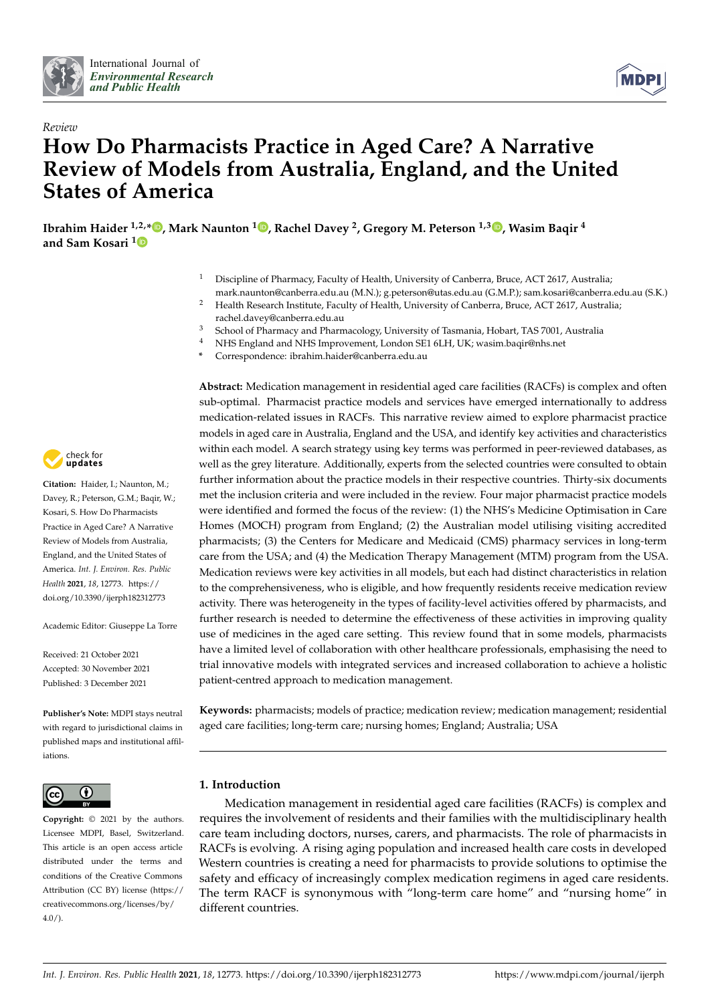



# *Review* **How Do Pharmacists Practice in Aged Care? A Narrative Review of Models from Australia, England, and the United States of America**

**Ibrahim Haider 1,2,[\\*](https://orcid.org/0000-0002-4047-2665) , Mark Naunton <sup>1</sup> [,](https://orcid.org/0000-0002-6422-7170) Rachel Davey <sup>2</sup> , Gregory M. Peterson 1,3 [,](https://orcid.org/0000-0002-6764-3882) Wasim Baqir <sup>4</sup> and Sam Kosari [1](https://orcid.org/0000-0002-6737-1442)**

- <sup>1</sup> Discipline of Pharmacy, Faculty of Health, University of Canberra, Bruce, ACT 2617, Australia;
- mark.naunton@canberra.edu.au (M.N.); g.peterson@utas.edu.au (G.M.P.); sam.kosari@canberra.edu.au (S.K.) <sup>2</sup> Health Research Institute, Faculty of Health, University of Canberra, Bruce, ACT 2617, Australia; rachel.davey@canberra.edu.au
- <sup>3</sup> School of Pharmacy and Pharmacology, University of Tasmania, Hobart, TAS 7001, Australia
- <sup>4</sup> NHS England and NHS Improvement, London SE1 6LH, UK; wasim.baqir@nhs.net
- **\*** Correspondence: ibrahim.haider@canberra.edu.au

**Abstract:** Medication management in residential aged care facilities (RACFs) is complex and often sub-optimal. Pharmacist practice models and services have emerged internationally to address medication-related issues in RACFs. This narrative review aimed to explore pharmacist practice models in aged care in Australia, England and the USA, and identify key activities and characteristics within each model. A search strategy using key terms was performed in peer-reviewed databases, as well as the grey literature. Additionally, experts from the selected countries were consulted to obtain further information about the practice models in their respective countries. Thirty-six documents met the inclusion criteria and were included in the review. Four major pharmacist practice models were identified and formed the focus of the review: (1) the NHS's Medicine Optimisation in Care Homes (MOCH) program from England; (2) the Australian model utilising visiting accredited pharmacists; (3) the Centers for Medicare and Medicaid (CMS) pharmacy services in long-term care from the USA; and (4) the Medication Therapy Management (MTM) program from the USA. Medication reviews were key activities in all models, but each had distinct characteristics in relation to the comprehensiveness, who is eligible, and how frequently residents receive medication review activity. There was heterogeneity in the types of facility-level activities offered by pharmacists, and further research is needed to determine the effectiveness of these activities in improving quality use of medicines in the aged care setting. This review found that in some models, pharmacists have a limited level of collaboration with other healthcare professionals, emphasising the need to trial innovative models with integrated services and increased collaboration to achieve a holistic patient-centred approach to medication management.

**Keywords:** pharmacists; models of practice; medication review; medication management; residential aged care facilities; long-term care; nursing homes; England; Australia; USA

## **1. Introduction**

Medication management in residential aged care facilities (RACFs) is complex and requires the involvement of residents and their families with the multidisciplinary health care team including doctors, nurses, carers, and pharmacists. The role of pharmacists in RACFs is evolving. A rising aging population and increased health care costs in developed Western countries is creating a need for pharmacists to provide solutions to optimise the safety and efficacy of increasingly complex medication regimens in aged care residents. The term RACF is synonymous with "long-term care home" and "nursing home" in different countries.



**Citation:** Haider, I.; Naunton, M.; Davey, R.; Peterson, G.M.; Baqir, W.; Kosari, S. How Do Pharmacists Practice in Aged Care? A Narrative Review of Models from Australia, England, and the United States of America. *Int. J. Environ. Res. Public Health* **2021**, *18*, 12773. [https://](https://doi.org/10.3390/ijerph182312773) [doi.org/10.3390/ijerph182312773](https://doi.org/10.3390/ijerph182312773)

Academic Editor: Giuseppe La Torre

Received: 21 October 2021 Accepted: 30 November 2021 Published: 3 December 2021

**Publisher's Note:** MDPI stays neutral with regard to jurisdictional claims in published maps and institutional affiliations.



**Copyright:** © 2021 by the authors. Licensee MDPI, Basel, Switzerland. This article is an open access article distributed under the terms and conditions of the Creative Commons Attribution (CC BY) license (https:/[/](https://creativecommons.org/licenses/by/4.0/) [creativecommons.org/licenses/by/](https://creativecommons.org/licenses/by/4.0/)  $4.0/$ ).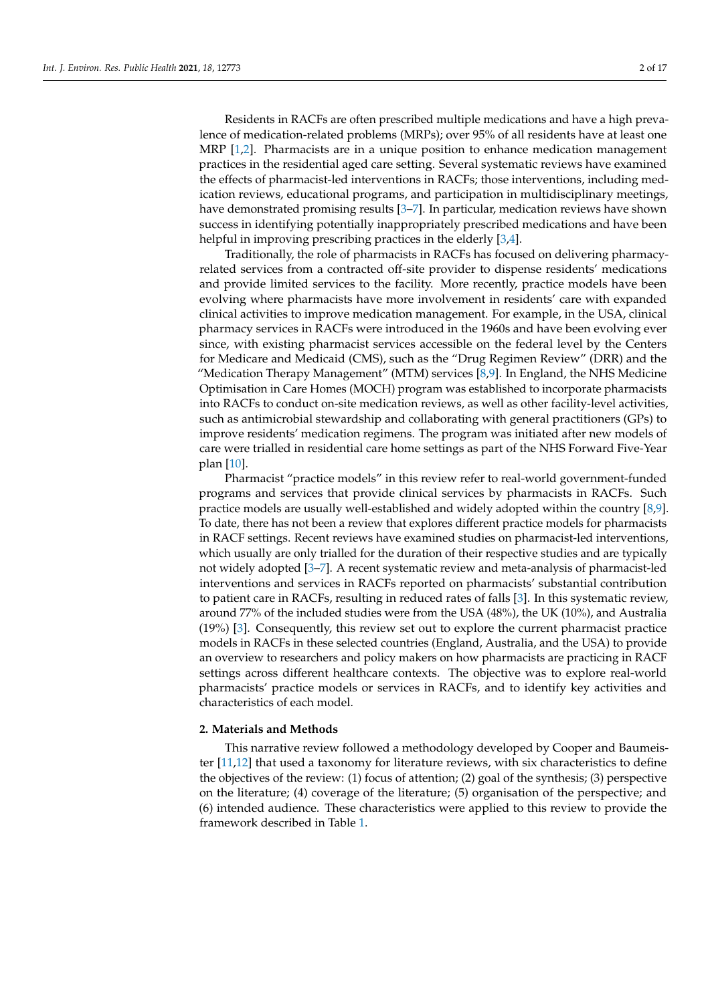Residents in RACFs are often prescribed multiple medications and have a high prevalence of medication-related problems (MRPs); over 95% of all residents have at least one MRP [\[1](#page-14-0)[,2\]](#page-14-1). Pharmacists are in a unique position to enhance medication management practices in the residential aged care setting. Several systematic reviews have examined the effects of pharmacist-led interventions in RACFs; those interventions, including medication reviews, educational programs, and participation in multidisciplinary meetings, have demonstrated promising results [\[3](#page-14-2)[–7\]](#page-14-3). In particular, medication reviews have shown success in identifying potentially inappropriately prescribed medications and have been helpful in improving prescribing practices in the elderly [\[3,](#page-14-2)[4\]](#page-14-4).

Traditionally, the role of pharmacists in RACFs has focused on delivering pharmacyrelated services from a contracted off-site provider to dispense residents' medications and provide limited services to the facility. More recently, practice models have been evolving where pharmacists have more involvement in residents' care with expanded clinical activities to improve medication management. For example, in the USA, clinical pharmacy services in RACFs were introduced in the 1960s and have been evolving ever since, with existing pharmacist services accessible on the federal level by the Centers for Medicare and Medicaid (CMS), such as the "Drug Regimen Review" (DRR) and the "Medication Therapy Management" (MTM) services [\[8,](#page-14-5)[9\]](#page-14-6). In England, the NHS Medicine Optimisation in Care Homes (MOCH) program was established to incorporate pharmacists into RACFs to conduct on-site medication reviews, as well as other facility-level activities, such as antimicrobial stewardship and collaborating with general practitioners (GPs) to improve residents' medication regimens. The program was initiated after new models of care were trialled in residential care home settings as part of the NHS Forward Five-Year plan [\[10\]](#page-14-7).

Pharmacist "practice models" in this review refer to real-world government-funded programs and services that provide clinical services by pharmacists in RACFs. Such practice models are usually well-established and widely adopted within the country [\[8,](#page-14-5)[9\]](#page-14-6). To date, there has not been a review that explores different practice models for pharmacists in RACF settings. Recent reviews have examined studies on pharmacist-led interventions, which usually are only trialled for the duration of their respective studies and are typically not widely adopted [\[3](#page-14-2)[–7\]](#page-14-3). A recent systematic review and meta-analysis of pharmacist-led interventions and services in RACFs reported on pharmacists' substantial contribution to patient care in RACFs, resulting in reduced rates of falls [\[3\]](#page-14-2). In this systematic review, around 77% of the included studies were from the USA (48%), the UK (10%), and Australia (19%) [\[3\]](#page-14-2). Consequently, this review set out to explore the current pharmacist practice models in RACFs in these selected countries (England, Australia, and the USA) to provide an overview to researchers and policy makers on how pharmacists are practicing in RACF settings across different healthcare contexts. The objective was to explore real-world pharmacists' practice models or services in RACFs, and to identify key activities and characteristics of each model.

#### **2. Materials and Methods**

This narrative review followed a methodology developed by Cooper and Baumeister [\[11,](#page-14-8)[12\]](#page-14-9) that used a taxonomy for literature reviews, with six characteristics to define the objectives of the review: (1) focus of attention; (2) goal of the synthesis; (3) perspective on the literature; (4) coverage of the literature; (5) organisation of the perspective; and (6) intended audience. These characteristics were applied to this review to provide the framework described in Table [1.](#page-2-0)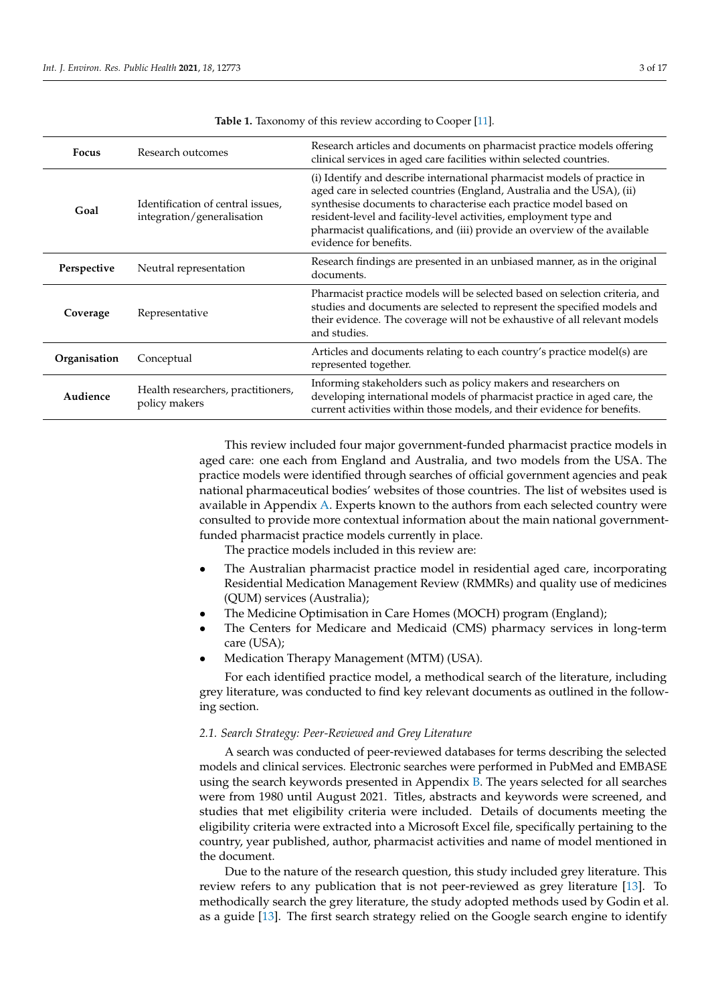<span id="page-2-0"></span>

| <b>Focus</b> | Research outcomes                                               | Research articles and documents on pharmacist practice models offering<br>clinical services in aged care facilities within selected countries.                                                                                                                                                                                                                                                      |
|--------------|-----------------------------------------------------------------|-----------------------------------------------------------------------------------------------------------------------------------------------------------------------------------------------------------------------------------------------------------------------------------------------------------------------------------------------------------------------------------------------------|
| Goal         | Identification of central issues,<br>integration/generalisation | (i) Identify and describe international pharmacist models of practice in<br>aged care in selected countries (England, Australia and the USA), (ii)<br>synthesise documents to characterise each practice model based on<br>resident-level and facility-level activities, employment type and<br>pharmacist qualifications, and (iii) provide an overview of the available<br>evidence for benefits. |
| Perspective  | Neutral representation                                          | Research findings are presented in an unbiased manner, as in the original<br>documents.                                                                                                                                                                                                                                                                                                             |
| Coverage     | Representative                                                  | Pharmacist practice models will be selected based on selection criteria, and<br>studies and documents are selected to represent the specified models and<br>their evidence. The coverage will not be exhaustive of all relevant models<br>and studies.                                                                                                                                              |
| Organisation | Conceptual                                                      | Articles and documents relating to each country's practice model(s) are<br>represented together.                                                                                                                                                                                                                                                                                                    |
| Audience     | Health researchers, practitioners,<br>policy makers             | Informing stakeholders such as policy makers and researchers on<br>developing international models of pharmacist practice in aged care, the<br>current activities within those models, and their evidence for benefits.                                                                                                                                                                             |

**Table 1.** Taxonomy of this review according to Cooper [\[11\]](#page-14-8).

This review included four major government-funded pharmacist practice models in aged care: one each from England and Australia, and two models from the USA. The practice models were identified through searches of official government agencies and peak national pharmaceutical bodies' websites of those countries. The list of websites used is available in Appendix [A.](#page-13-0) Experts known to the authors from each selected country were consulted to provide more contextual information about the main national governmentfunded pharmacist practice models currently in place.

The practice models included in this review are:

- The Australian pharmacist practice model in residential aged care, incorporating Residential Medication Management Review (RMMRs) and quality use of medicines (QUM) services (Australia);
- The Medicine Optimisation in Care Homes (MOCH) program (England);
- The Centers for Medicare and Medicaid (CMS) pharmacy services in long-term care (USA);
- Medication Therapy Management (MTM) (USA).

For each identified practice model, a methodical search of the literature, including grey literature, was conducted to find key relevant documents as outlined in the following section.

## *2.1. Search Strategy: Peer-Reviewed and Grey Literature*

A search was conducted of peer-reviewed databases for terms describing the selected models and clinical services. Electronic searches were performed in PubMed and EMBASE using the search keywords presented in Appendix [B.](#page-14-10) The years selected for all searches were from 1980 until August 2021. Titles, abstracts and keywords were screened, and studies that met eligibility criteria were included. Details of documents meeting the eligibility criteria were extracted into a Microsoft Excel file, specifically pertaining to the country, year published, author, pharmacist activities and name of model mentioned in the document.

Due to the nature of the research question, this study included grey literature. This review refers to any publication that is not peer-reviewed as grey literature [\[13\]](#page-14-11). To methodically search the grey literature, the study adopted methods used by Godin et al. as a guide [\[13\]](#page-14-11). The first search strategy relied on the Google search engine to identify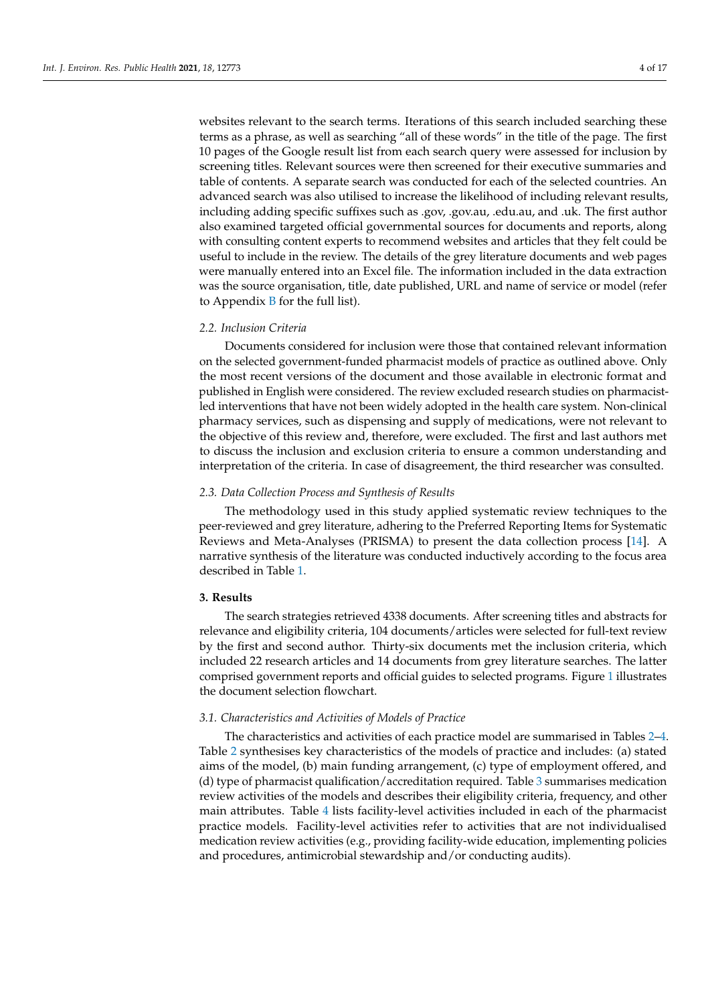websites relevant to the search terms. Iterations of this search included searching these terms as a phrase, as well as searching "all of these words" in the title of the page. The first 10 pages of the Google result list from each search query were assessed for inclusion by screening titles. Relevant sources were then screened for their executive summaries and table of contents. A separate search was conducted for each of the selected countries. An advanced search was also utilised to increase the likelihood of including relevant results, including adding specific suffixes such as .gov, .gov.au, .edu.au, and .uk. The first author also examined targeted official governmental sources for documents and reports, along with consulting content experts to recommend websites and articles that they felt could be useful to include in the review. The details of the grey literature documents and web pages were manually entered into an Excel file. The information included in the data extraction was the source organisation, title, date published, URL and name of service or model (refer to Appendix  $B$  for the full list).

## *2.2. Inclusion Criteria*

Documents considered for inclusion were those that contained relevant information on the selected government-funded pharmacist models of practice as outlined above. Only the most recent versions of the document and those available in electronic format and published in English were considered. The review excluded research studies on pharmacistled interventions that have not been widely adopted in the health care system. Non-clinical pharmacy services, such as dispensing and supply of medications, were not relevant to the objective of this review and, therefore, were excluded. The first and last authors met to discuss the inclusion and exclusion criteria to ensure a common understanding and interpretation of the criteria. In case of disagreement, the third researcher was consulted.

#### *2.3. Data Collection Process and Synthesis of Results*

The methodology used in this study applied systematic review techniques to the peer-reviewed and grey literature, adhering to the Preferred Reporting Items for Systematic Reviews and Meta-Analyses (PRISMA) to present the data collection process [\[14\]](#page-14-12). A narrative synthesis of the literature was conducted inductively according to the focus area described in Table [1.](#page-2-0)

## **3. Results**

The search strategies retrieved 4338 documents. After screening titles and abstracts for relevance and eligibility criteria, 104 documents/articles were selected for full-text review by the first and second author. Thirty-six documents met the inclusion criteria, which included 22 research articles and 14 documents from grey literature searches. The latter comprised government reports and official guides to selected programs. Figure [1](#page-7-0) illustrates the document selection flowchart.

#### *3.1. Characteristics and Activities of Models of Practice*

The characteristics and activities of each practice model are summarised in Tables [2–](#page-4-0)[4.](#page-6-0) Table [2](#page-4-0) synthesises key characteristics of the models of practice and includes: (a) stated aims of the model, (b) main funding arrangement, (c) type of employment offered, and (d) type of pharmacist qualification/accreditation required. Table [3](#page-5-0) summarises medication review activities of the models and describes their eligibility criteria, frequency, and other main attributes. Table [4](#page-6-0) lists facility-level activities included in each of the pharmacist practice models. Facility-level activities refer to activities that are not individualised medication review activities (e.g., providing facility-wide education, implementing policies and procedures, antimicrobial stewardship and/or conducting audits).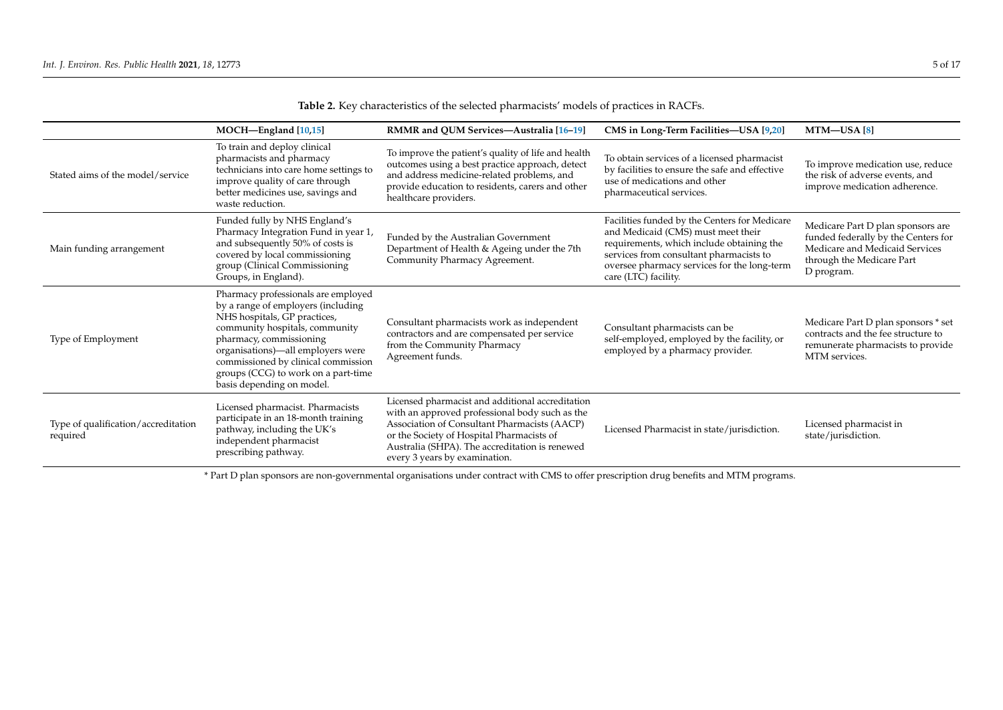|                                                 | MOCH-England [10,15]                                                                                                                                                                                                                                                                                                   | RMMR and QUM Services-Australia [16-19]                                                                                                                                                                                                                                            | CMS in Long-Term Facilities-USA [9,20]                                                                                                                                                                                                             | MTM—USA [8]                                                                                                                                           |
|-------------------------------------------------|------------------------------------------------------------------------------------------------------------------------------------------------------------------------------------------------------------------------------------------------------------------------------------------------------------------------|------------------------------------------------------------------------------------------------------------------------------------------------------------------------------------------------------------------------------------------------------------------------------------|----------------------------------------------------------------------------------------------------------------------------------------------------------------------------------------------------------------------------------------------------|-------------------------------------------------------------------------------------------------------------------------------------------------------|
| Stated aims of the model/service                | To train and deploy clinical<br>pharmacists and pharmacy<br>technicians into care home settings to<br>improve quality of care through<br>better medicines use, savings and<br>waste reduction.                                                                                                                         | To improve the patient's quality of life and health<br>outcomes using a best practice approach, detect<br>and address medicine-related problems, and<br>provide education to residents, carers and other<br>healthcare providers.                                                  | To obtain services of a licensed pharmacist<br>by facilities to ensure the safe and effective<br>use of medications and other<br>pharmaceutical services.                                                                                          | To improve medication use, reduce<br>the risk of adverse events, and<br>improve medication adherence.                                                 |
| Main funding arrangement                        | Funded fully by NHS England's<br>Pharmacy Integration Fund in year 1,<br>and subsequently 50% of costs is<br>covered by local commissioning<br>group (Clinical Commissioning<br>Groups, in England).                                                                                                                   | Funded by the Australian Government<br>Department of Health & Ageing under the 7th<br>Community Pharmacy Agreement.                                                                                                                                                                | Facilities funded by the Centers for Medicare<br>and Medicaid (CMS) must meet their<br>requirements, which include obtaining the<br>services from consultant pharmacists to<br>oversee pharmacy services for the long-term<br>care (LTC) facility. | Medicare Part D plan sponsors are<br>funded federally by the Centers for<br>Medicare and Medicaid Services<br>through the Medicare Part<br>D program. |
| Type of Employment                              | Pharmacy professionals are employed<br>by a range of employers (including<br>NHS hospitals, GP practices,<br>community hospitals, community<br>pharmacy, commissioning<br>organisations)—all employers were<br>commissioned by clinical commission<br>groups (CCG) to work on a part-time<br>basis depending on model. | Consultant pharmacists work as independent<br>contractors and are compensated per service<br>from the Community Pharmacy<br>Agreement funds.                                                                                                                                       | Consultant pharmacists can be<br>self-employed, employed by the facility, or<br>employed by a pharmacy provider.                                                                                                                                   | Medicare Part D plan sponsors * set<br>contracts and the fee structure to<br>remunerate pharmacists to provide<br>MTM services.                       |
| Type of qualification/accreditation<br>required | Licensed pharmacist. Pharmacists<br>participate in an 18-month training<br>pathway, including the UK's<br>independent pharmacist<br>prescribing pathway.                                                                                                                                                               | Licensed pharmacist and additional accreditation<br>with an approved professional body such as the<br>Association of Consultant Pharmacists (AACP)<br>or the Society of Hospital Pharmacists of<br>Australia (SHPA). The accreditation is renewed<br>every 3 years by examination. | Licensed Pharmacist in state/jurisdiction.                                                                                                                                                                                                         | Licensed pharmacist in<br>state/jurisdiction.                                                                                                         |

**Table 2.** Key characteristics of the selected pharmacists' models of practices in RACFs.

<span id="page-4-0"></span>\* Part D plan sponsors are non-governmental organisations under contract with CMS to offer prescription drug benefits and MTM programs.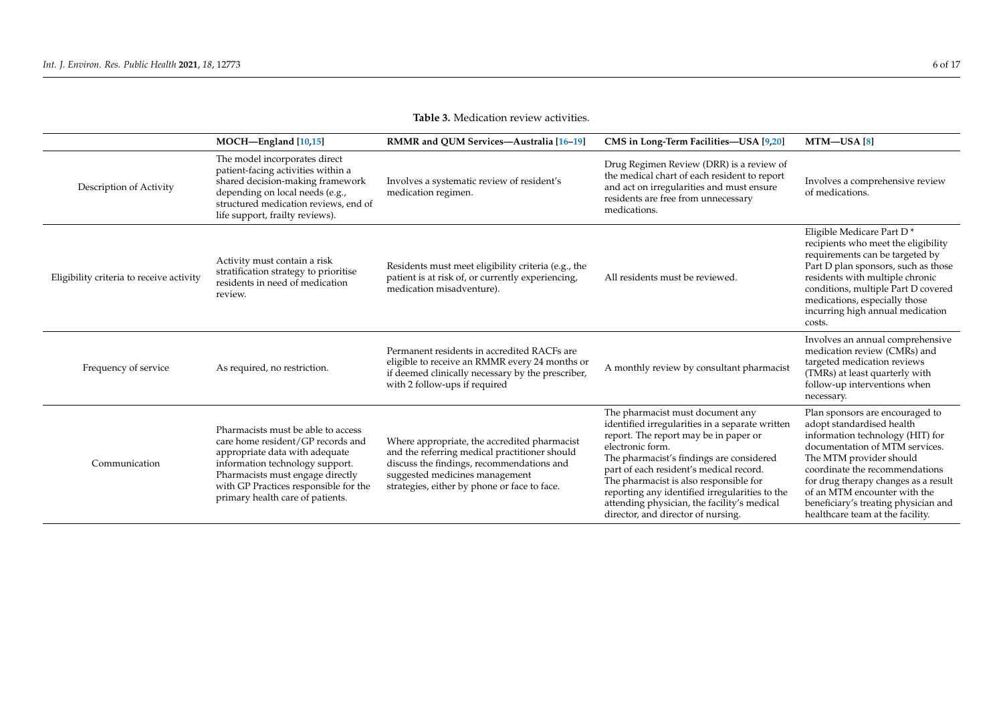<span id="page-5-0"></span>

|                                          | MOCH-England [10,15]                                                                                                                                                                                                                                          | RMMR and QUM Services-Australia [16-19]                                                                                                                                                                                      | CMS in Long-Term Facilities-USA [9,20]                                                                                                                                                                                                                                                                                                                                                                                   | MTM–USA [8]                                                                                                                                                                                                                                                                                                                                         |
|------------------------------------------|---------------------------------------------------------------------------------------------------------------------------------------------------------------------------------------------------------------------------------------------------------------|------------------------------------------------------------------------------------------------------------------------------------------------------------------------------------------------------------------------------|--------------------------------------------------------------------------------------------------------------------------------------------------------------------------------------------------------------------------------------------------------------------------------------------------------------------------------------------------------------------------------------------------------------------------|-----------------------------------------------------------------------------------------------------------------------------------------------------------------------------------------------------------------------------------------------------------------------------------------------------------------------------------------------------|
| Description of Activity                  | The model incorporates direct<br>patient-facing activities within a<br>shared decision-making framework<br>depending on local needs (e.g.,<br>structured medication reviews, end of<br>life support, frailty reviews).                                        | Involves a systematic review of resident's<br>medication regimen.                                                                                                                                                            | Drug Regimen Review (DRR) is a review of<br>the medical chart of each resident to report<br>and act on irregularities and must ensure<br>residents are free from unnecessary<br>medications.                                                                                                                                                                                                                             | Involves a comprehensive review<br>of medications.                                                                                                                                                                                                                                                                                                  |
| Eligibility criteria to receive activity | Activity must contain a risk<br>stratification strategy to prioritise<br>residents in need of medication<br>review.                                                                                                                                           | Residents must meet eligibility criteria (e.g., the<br>patient is at risk of, or currently experiencing,<br>medication misadventure).                                                                                        | All residents must be reviewed.                                                                                                                                                                                                                                                                                                                                                                                          | Eligible Medicare Part D*<br>recipients who meet the eligibility<br>requirements can be targeted by<br>Part D plan sponsors, such as those<br>residents with multiple chronic<br>conditions, multiple Part D covered<br>medications, especially those<br>incurring high annual medication<br>costs.                                                 |
| Frequency of service                     | As required, no restriction.                                                                                                                                                                                                                                  | Permanent residents in accredited RACFs are<br>eligible to receive an RMMR every 24 months or<br>if deemed clinically necessary by the prescriber,<br>with 2 follow-ups if required                                          | A monthly review by consultant pharmacist                                                                                                                                                                                                                                                                                                                                                                                | Involves an annual comprehensive<br>medication review (CMRs) and<br>targeted medication reviews<br>(TMRs) at least quarterly with<br>follow-up interventions when<br>necessary.                                                                                                                                                                     |
| Communication                            | Pharmacists must be able to access<br>care home resident/GP records and<br>appropriate data with adequate<br>information technology support.<br>Pharmacists must engage directly<br>with GP Practices responsible for the<br>primary health care of patients. | Where appropriate, the accredited pharmacist<br>and the referring medical practitioner should<br>discuss the findings, recommendations and<br>suggested medicines management<br>strategies, either by phone or face to face. | The pharmacist must document any<br>identified irregularities in a separate written<br>report. The report may be in paper or<br>electronic form.<br>The pharmacist's findings are considered<br>part of each resident's medical record.<br>The pharmacist is also responsible for<br>reporting any identified irregularities to the<br>attending physician, the facility's medical<br>director, and director of nursing. | Plan sponsors are encouraged to<br>adopt standardised health<br>information technology (HIT) for<br>documentation of MTM services.<br>The MTM provider should<br>coordinate the recommendations<br>for drug therapy changes as a result<br>of an MTM encounter with the<br>beneficiary's treating physician and<br>healthcare team at the facility. |

# **Table 3.** Medication review activities.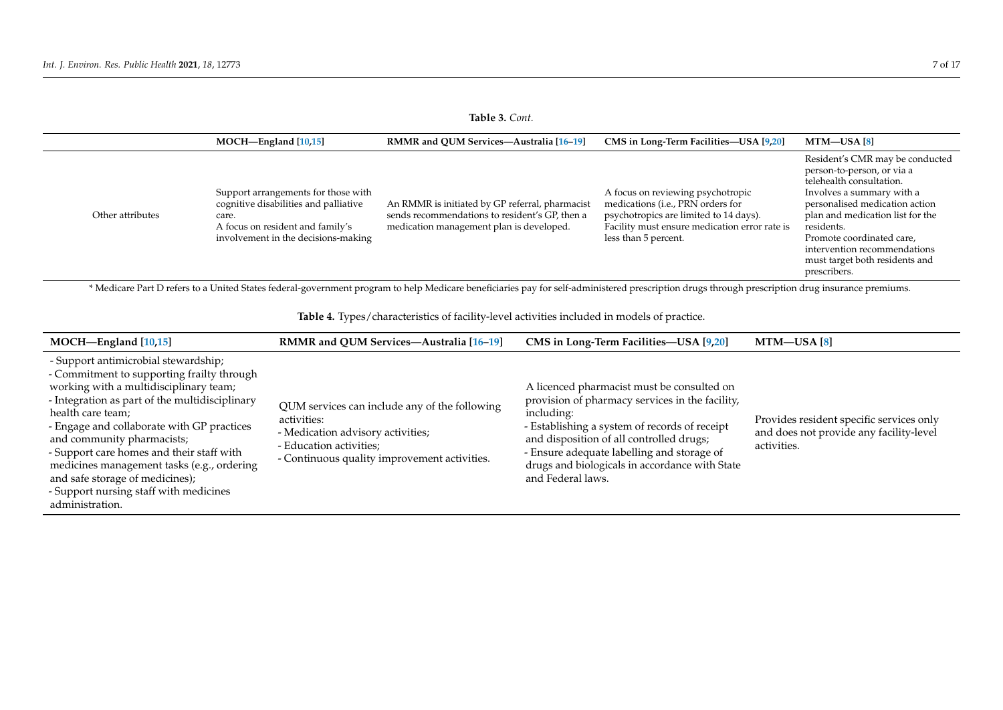## **Table 3.** *Cont.*

|                  | MOCH-England [10,15]                                                                                                                                             | <b>RMMR</b> and OUM Services—Australia [16-19]                                                                                                | CMS in Long-Term Facilities—USA [9,20]                                                                                                                                                    | MTM—USA [8]                                                                                                                                                                                                                                                                                                               |
|------------------|------------------------------------------------------------------------------------------------------------------------------------------------------------------|-----------------------------------------------------------------------------------------------------------------------------------------------|-------------------------------------------------------------------------------------------------------------------------------------------------------------------------------------------|---------------------------------------------------------------------------------------------------------------------------------------------------------------------------------------------------------------------------------------------------------------------------------------------------------------------------|
| Other attributes | Support arrangements for those with<br>cognitive disabilities and palliative<br>care.<br>A focus on resident and family's<br>involvement in the decisions-making | An RMMR is initiated by GP referral, pharmacist<br>sends recommendations to resident's GP, then a<br>medication management plan is developed. | A focus on reviewing psychotropic<br>medications (i.e., PRN orders for<br>psychotropics are limited to 14 days).<br>Facility must ensure medication error rate is<br>less than 5 percent. | Resident's CMR may be conducted<br>person-to-person, or via a<br>telehealth consultation.<br>Involves a summary with a<br>personalised medication action<br>plan and medication list for the<br>residents.<br>Promote coordinated care,<br>intervention recommendations<br>must target both residents and<br>prescribers. |

\* Medicare Part D refers to a United States federal-government program to help Medicare beneficiaries pay for self-administered prescription drugs through prescription drug insurance premiums.

**Table 4.** Types/characteristics of facility-level activities included in models of practice.

<span id="page-6-0"></span>

| MOCH-England [10,15]                                                                                                                                                                                                                                                                                                                                                                                                                                                       | RMMR and QUM Services-Australia [16-19]                                                                                                                                      | CMS in Long-Term Facilities-USA [9,20]                                                                                                                                                                                                                                                                                        | $MTM$ —USA [8]                                                                                     |
|----------------------------------------------------------------------------------------------------------------------------------------------------------------------------------------------------------------------------------------------------------------------------------------------------------------------------------------------------------------------------------------------------------------------------------------------------------------------------|------------------------------------------------------------------------------------------------------------------------------------------------------------------------------|-------------------------------------------------------------------------------------------------------------------------------------------------------------------------------------------------------------------------------------------------------------------------------------------------------------------------------|----------------------------------------------------------------------------------------------------|
| - Support antimicrobial stewardship;<br>- Commitment to supporting frailty through<br>working with a multidisciplinary team;<br>- Integration as part of the multidisciplinary<br>health care team;<br>- Engage and collaborate with GP practices<br>and community pharmacists;<br>- Support care homes and their staff with<br>medicines management tasks (e.g., ordering<br>and safe storage of medicines);<br>- Support nursing staff with medicines<br>administration. | QUM services can include any of the following<br>activities:<br>- Medication advisory activities;<br>- Education activities;<br>- Continuous quality improvement activities. | A licenced pharmacist must be consulted on<br>provision of pharmacy services in the facility,<br>including:<br>- Establishing a system of records of receipt<br>and disposition of all controlled drugs;<br>- Ensure adequate labelling and storage of<br>drugs and biologicals in accordance with State<br>and Federal laws. | Provides resident specific services only<br>and does not provide any facility-level<br>activities. |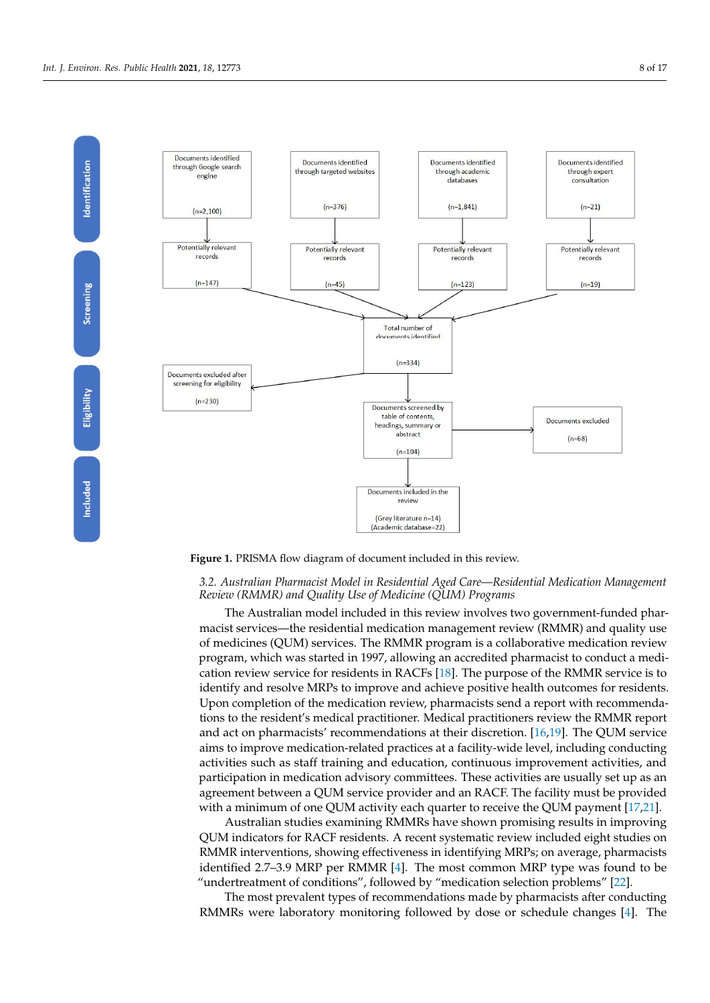<span id="page-7-0"></span>

**Figure 1.** PRISMA flow diagram of document included in this review.

## *3.2. Australian Pharmacist Model in Residential Aged Care—Residential Medication Management Review (RMMR) and Quality Use of Medicine (QUM) Programs*

macist services—the residential medication management review (RMMR) and quality use *3.1. Characteristics and Activities of Models of Practice* program, which was started in 1997, allowing an accredited pharmacist to conduct a medi-cation review service for residents in RACFs [\[18\]](#page-14-18). The purpose of the RMMR service is to identify and resolve MRPs to improve and achieve positive health outcomes for residents. Upon completion of the medication review, pharmacists send a report with recommendations to the resident's medical practitioner. Medical practitioners review the RMMR report and act on pharmacists' recommendations at their discretion. [\[16,](#page-14-19)[19\]](#page-15-2). The QUM service aims to improve medication-related practices at a facility-wide level, including conducting activities such as staff training and education, continuous improvement activities, and medication review activities (e.g., providing facility-wide education, inplementing poli---------------------participation in medication advisory committees. These activities are usually set up as an<br>
and a participation in medication advisory committees. These activities are usually set up as an The Australian model included in this review involves two government-funded pharof medicines (QUM) services. The RMMR program is a collaborative medication review agreement between a QUM service provider and an RACF. The facility must be provided with a minimum of one QUM activity each quarter to receive the QUM payment [\[17](#page-14-20)[,21\]](#page-15-3).

Australian studies examining RMMRs have shown promising results in improving QUM indicators for RACF residents. A recent systematic review included eight studies on RMMR interventions, showing effectiveness in identifying MRPs; on average, pharmacists identified 2.7–3.9 MRP per RMMR [\[4\]](#page-14-4). The most common MRP type was found to be "undertreatment of conditions", followed by "medication selection problems" [\[22\]](#page-15-4).

The most prevalent types of recommendations made by pharmacists after conducting RMMRs were laboratory monitoring followed by dose or schedule changes [\[4\]](#page-14-4). The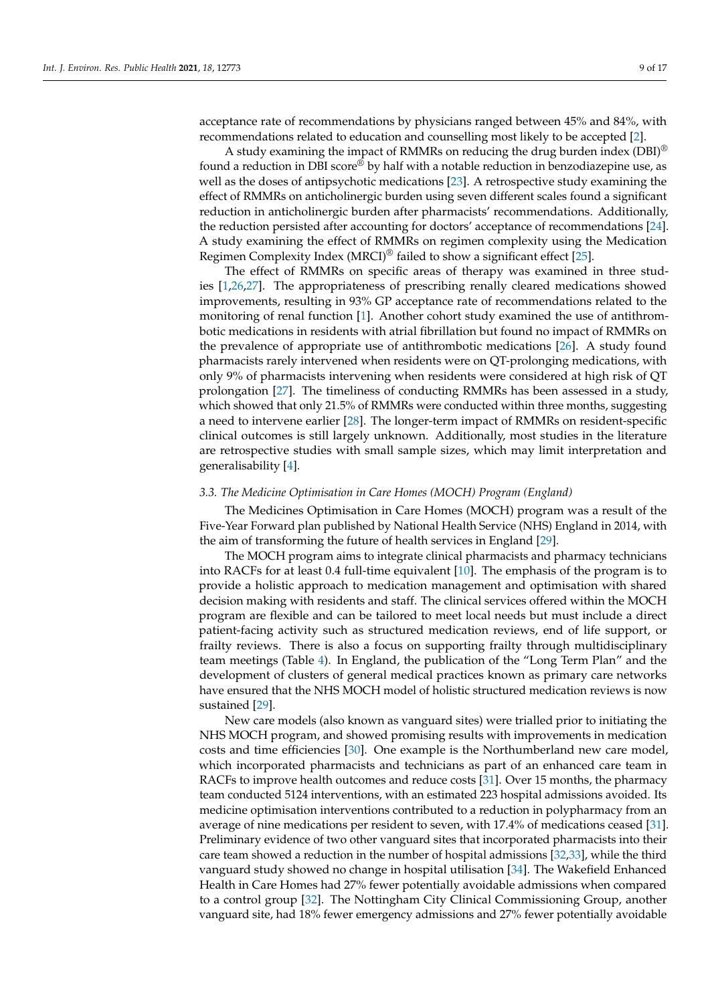acceptance rate of recommendations by physicians ranged between 45% and 84%, with recommendations related to education and counselling most likely to be accepted [\[2\]](#page-14-1).

A study examining the impact of RMMRs on reducing the drug burden index (DBI)® found a reduction in DBI score® by half with a notable reduction in benzodiazepine use, as well as the doses of antipsychotic medications [\[23\]](#page-15-5). A retrospective study examining the effect of RMMRs on anticholinergic burden using seven different scales found a significant reduction in anticholinergic burden after pharmacists' recommendations. Additionally, the reduction persisted after accounting for doctors' acceptance of recommendations [\[24\]](#page-15-6). A study examining the effect of RMMRs on regimen complexity using the Medication Regimen Complexity Index (MRCI)<sup>®</sup> failed to show a significant effect [\[25\]](#page-15-7).

The effect of RMMRs on specific areas of therapy was examined in three studies [\[1,](#page-14-0)[26,](#page-15-8)[27\]](#page-15-9). The appropriateness of prescribing renally cleared medications showed improvements, resulting in 93% GP acceptance rate of recommendations related to the monitoring of renal function [\[1\]](#page-14-0). Another cohort study examined the use of antithrombotic medications in residents with atrial fibrillation but found no impact of RMMRs on the prevalence of appropriate use of antithrombotic medications [\[26\]](#page-15-8). A study found pharmacists rarely intervened when residents were on QT-prolonging medications, with only 9% of pharmacists intervening when residents were considered at high risk of QT prolongation [\[27\]](#page-15-9). The timeliness of conducting RMMRs has been assessed in a study, which showed that only 21.5% of RMMRs were conducted within three months, suggesting a need to intervene earlier [\[28\]](#page-15-10). The longer-term impact of RMMRs on resident-specific clinical outcomes is still largely unknown. Additionally, most studies in the literature are retrospective studies with small sample sizes, which may limit interpretation and generalisability [\[4\]](#page-14-4).

#### *3.3. The Medicine Optimisation in Care Homes (MOCH) Program (England)*

The Medicines Optimisation in Care Homes (MOCH) program was a result of the Five-Year Forward plan published by National Health Service (NHS) England in 2014, with the aim of transforming the future of health services in England [\[29\]](#page-15-11).

The MOCH program aims to integrate clinical pharmacists and pharmacy technicians into RACFs for at least 0.4 full-time equivalent [\[10\]](#page-14-7). The emphasis of the program is to provide a holistic approach to medication management and optimisation with shared decision making with residents and staff. The clinical services offered within the MOCH program are flexible and can be tailored to meet local needs but must include a direct patient-facing activity such as structured medication reviews, end of life support, or frailty reviews. There is also a focus on supporting frailty through multidisciplinary team meetings (Table [4\)](#page-6-0). In England, the publication of the "Long Term Plan" and the development of clusters of general medical practices known as primary care networks have ensured that the NHS MOCH model of holistic structured medication reviews is now sustained [\[29\]](#page-15-11).

New care models (also known as vanguard sites) were trialled prior to initiating the NHS MOCH program, and showed promising results with improvements in medication costs and time efficiencies [\[30\]](#page-15-12). One example is the Northumberland new care model, which incorporated pharmacists and technicians as part of an enhanced care team in RACFs to improve health outcomes and reduce costs [\[31\]](#page-15-13). Over 15 months, the pharmacy team conducted 5124 interventions, with an estimated 223 hospital admissions avoided. Its medicine optimisation interventions contributed to a reduction in polypharmacy from an average of nine medications per resident to seven, with 17.4% of medications ceased [\[31\]](#page-15-13). Preliminary evidence of two other vanguard sites that incorporated pharmacists into their care team showed a reduction in the number of hospital admissions [\[32,](#page-15-14)[33\]](#page-15-15), while the third vanguard study showed no change in hospital utilisation [\[34\]](#page-15-16). The Wakefield Enhanced Health in Care Homes had 27% fewer potentially avoidable admissions when compared to a control group [\[32\]](#page-15-14). The Nottingham City Clinical Commissioning Group, another vanguard site, had 18% fewer emergency admissions and 27% fewer potentially avoidable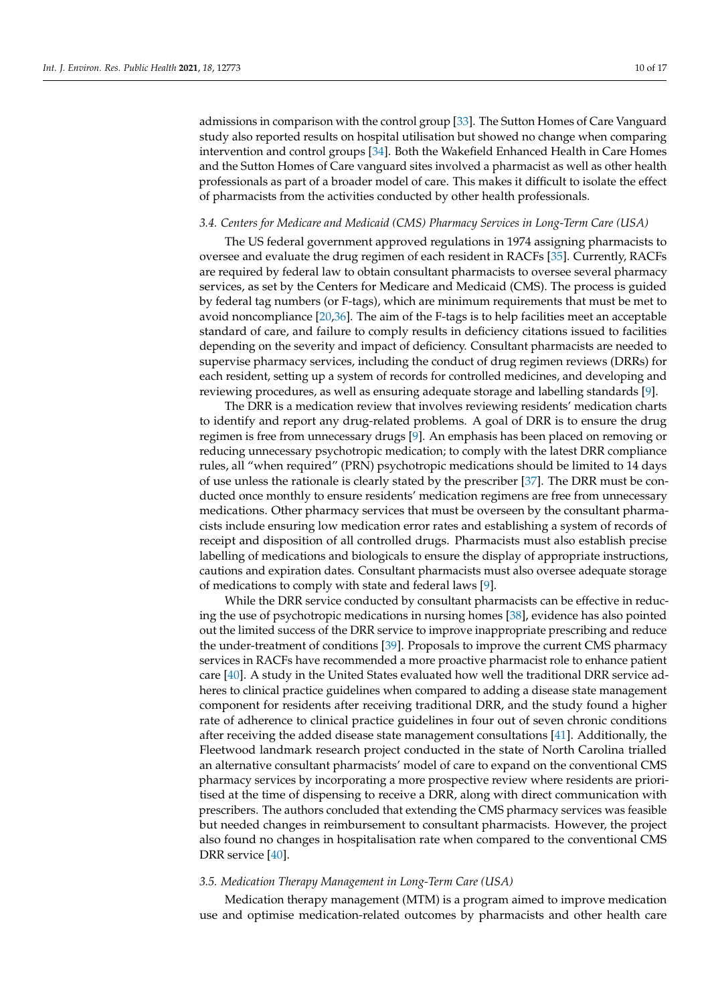admissions in comparison with the control group [\[33\]](#page-15-15). The Sutton Homes of Care Vanguard study also reported results on hospital utilisation but showed no change when comparing intervention and control groups [\[34\]](#page-15-16). Both the Wakefield Enhanced Health in Care Homes and the Sutton Homes of Care vanguard sites involved a pharmacist as well as other health professionals as part of a broader model of care. This makes it difficult to isolate the effect of pharmacists from the activities conducted by other health professionals.

#### *3.4. Centers for Medicare and Medicaid (CMS) Pharmacy Services in Long-Term Care (USA)*

The US federal government approved regulations in 1974 assigning pharmacists to oversee and evaluate the drug regimen of each resident in RACFs [\[35\]](#page-15-17). Currently, RACFs are required by federal law to obtain consultant pharmacists to oversee several pharmacy services, as set by the Centers for Medicare and Medicaid (CMS). The process is guided by federal tag numbers (or F-tags), which are minimum requirements that must be met to avoid noncompliance [\[20](#page-15-18)[,36\]](#page-15-19). The aim of the F-tags is to help facilities meet an acceptable standard of care, and failure to comply results in deficiency citations issued to facilities depending on the severity and impact of deficiency. Consultant pharmacists are needed to supervise pharmacy services, including the conduct of drug regimen reviews (DRRs) for each resident, setting up a system of records for controlled medicines, and developing and reviewing procedures, as well as ensuring adequate storage and labelling standards [\[9\]](#page-14-6).

The DRR is a medication review that involves reviewing residents' medication charts to identify and report any drug-related problems. A goal of DRR is to ensure the drug regimen is free from unnecessary drugs [\[9\]](#page-14-6). An emphasis has been placed on removing or reducing unnecessary psychotropic medication; to comply with the latest DRR compliance rules, all "when required" (PRN) psychotropic medications should be limited to 14 days of use unless the rationale is clearly stated by the prescriber [\[37\]](#page-15-20). The DRR must be conducted once monthly to ensure residents' medication regimens are free from unnecessary medications. Other pharmacy services that must be overseen by the consultant pharmacists include ensuring low medication error rates and establishing a system of records of receipt and disposition of all controlled drugs. Pharmacists must also establish precise labelling of medications and biologicals to ensure the display of appropriate instructions, cautions and expiration dates. Consultant pharmacists must also oversee adequate storage of medications to comply with state and federal laws [\[9\]](#page-14-6).

While the DRR service conducted by consultant pharmacists can be effective in reducing the use of psychotropic medications in nursing homes [\[38\]](#page-15-21), evidence has also pointed out the limited success of the DRR service to improve inappropriate prescribing and reduce the under-treatment of conditions [\[39\]](#page-15-22). Proposals to improve the current CMS pharmacy services in RACFs have recommended a more proactive pharmacist role to enhance patient care [\[40\]](#page-15-23). A study in the United States evaluated how well the traditional DRR service adheres to clinical practice guidelines when compared to adding a disease state management component for residents after receiving traditional DRR, and the study found a higher rate of adherence to clinical practice guidelines in four out of seven chronic conditions after receiving the added disease state management consultations [\[41\]](#page-15-24). Additionally, the Fleetwood landmark research project conducted in the state of North Carolina trialled an alternative consultant pharmacists' model of care to expand on the conventional CMS pharmacy services by incorporating a more prospective review where residents are prioritised at the time of dispensing to receive a DRR, along with direct communication with prescribers. The authors concluded that extending the CMS pharmacy services was feasible but needed changes in reimbursement to consultant pharmacists. However, the project also found no changes in hospitalisation rate when compared to the conventional CMS DRR service [\[40\]](#page-15-23).

#### *3.5. Medication Therapy Management in Long-Term Care (USA)*

Medication therapy management (MTM) is a program aimed to improve medication use and optimise medication-related outcomes by pharmacists and other health care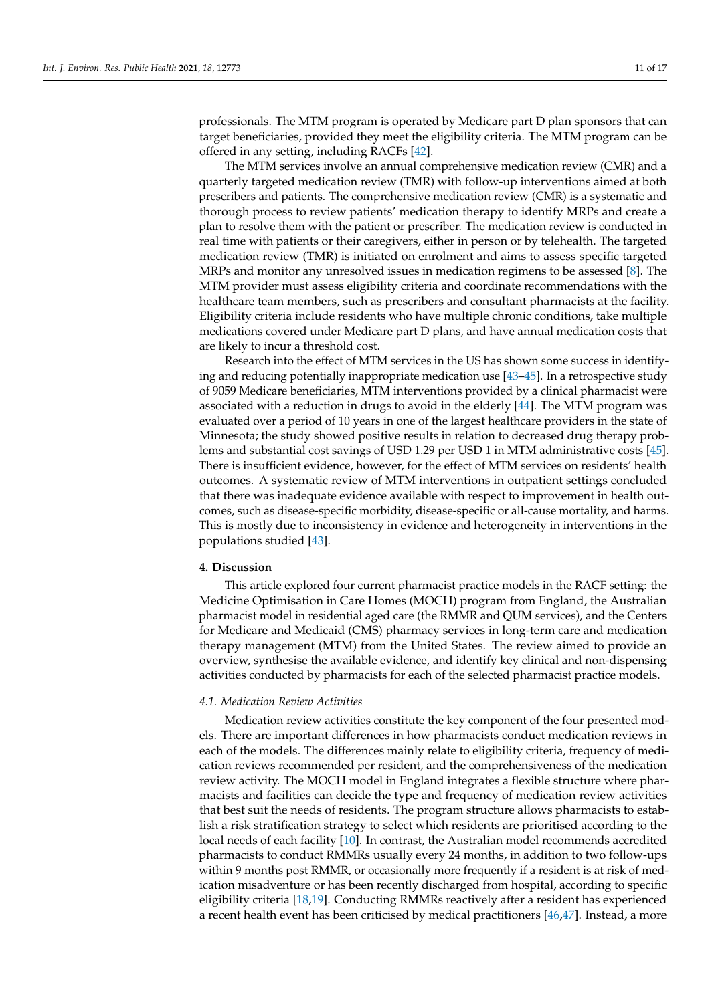professionals. The MTM program is operated by Medicare part D plan sponsors that can target beneficiaries, provided they meet the eligibility criteria. The MTM program can be offered in any setting, including RACFs [\[42\]](#page-15-25).

The MTM services involve an annual comprehensive medication review (CMR) and a quarterly targeted medication review (TMR) with follow-up interventions aimed at both prescribers and patients. The comprehensive medication review (CMR) is a systematic and thorough process to review patients' medication therapy to identify MRPs and create a plan to resolve them with the patient or prescriber. The medication review is conducted in real time with patients or their caregivers, either in person or by telehealth. The targeted medication review (TMR) is initiated on enrolment and aims to assess specific targeted MRPs and monitor any unresolved issues in medication regimens to be assessed [\[8\]](#page-14-5). The MTM provider must assess eligibility criteria and coordinate recommendations with the healthcare team members, such as prescribers and consultant pharmacists at the facility. Eligibility criteria include residents who have multiple chronic conditions, take multiple medications covered under Medicare part D plans, and have annual medication costs that are likely to incur a threshold cost.

Research into the effect of MTM services in the US has shown some success in identifying and reducing potentially inappropriate medication use [\[43–](#page-15-26)[45\]](#page-16-0). In a retrospective study of 9059 Medicare beneficiaries, MTM interventions provided by a clinical pharmacist were associated with a reduction in drugs to avoid in the elderly [\[44\]](#page-16-1). The MTM program was evaluated over a period of 10 years in one of the largest healthcare providers in the state of Minnesota; the study showed positive results in relation to decreased drug therapy problems and substantial cost savings of USD 1.29 per USD 1 in MTM administrative costs [\[45\]](#page-16-0). There is insufficient evidence, however, for the effect of MTM services on residents' health outcomes. A systematic review of MTM interventions in outpatient settings concluded that there was inadequate evidence available with respect to improvement in health outcomes, such as disease-specific morbidity, disease-specific or all-cause mortality, and harms. This is mostly due to inconsistency in evidence and heterogeneity in interventions in the populations studied [\[43\]](#page-15-26).

#### **4. Discussion**

This article explored four current pharmacist practice models in the RACF setting: the Medicine Optimisation in Care Homes (MOCH) program from England, the Australian pharmacist model in residential aged care (the RMMR and QUM services), and the Centers for Medicare and Medicaid (CMS) pharmacy services in long-term care and medication therapy management (MTM) from the United States. The review aimed to provide an overview, synthesise the available evidence, and identify key clinical and non-dispensing activities conducted by pharmacists for each of the selected pharmacist practice models.

## *4.1. Medication Review Activities*

Medication review activities constitute the key component of the four presented models. There are important differences in how pharmacists conduct medication reviews in each of the models. The differences mainly relate to eligibility criteria, frequency of medication reviews recommended per resident, and the comprehensiveness of the medication review activity. The MOCH model in England integrates a flexible structure where pharmacists and facilities can decide the type and frequency of medication review activities that best suit the needs of residents. The program structure allows pharmacists to establish a risk stratification strategy to select which residents are prioritised according to the local needs of each facility [\[10\]](#page-14-7). In contrast, the Australian model recommends accredited pharmacists to conduct RMMRs usually every 24 months, in addition to two follow-ups within 9 months post RMMR, or occasionally more frequently if a resident is at risk of medication misadventure or has been recently discharged from hospital, according to specific eligibility criteria [\[18](#page-14-18)[,19\]](#page-15-2). Conducting RMMRs reactively after a resident has experienced a recent health event has been criticised by medical practitioners [\[46](#page-16-2)[,47\]](#page-16-3). Instead, a more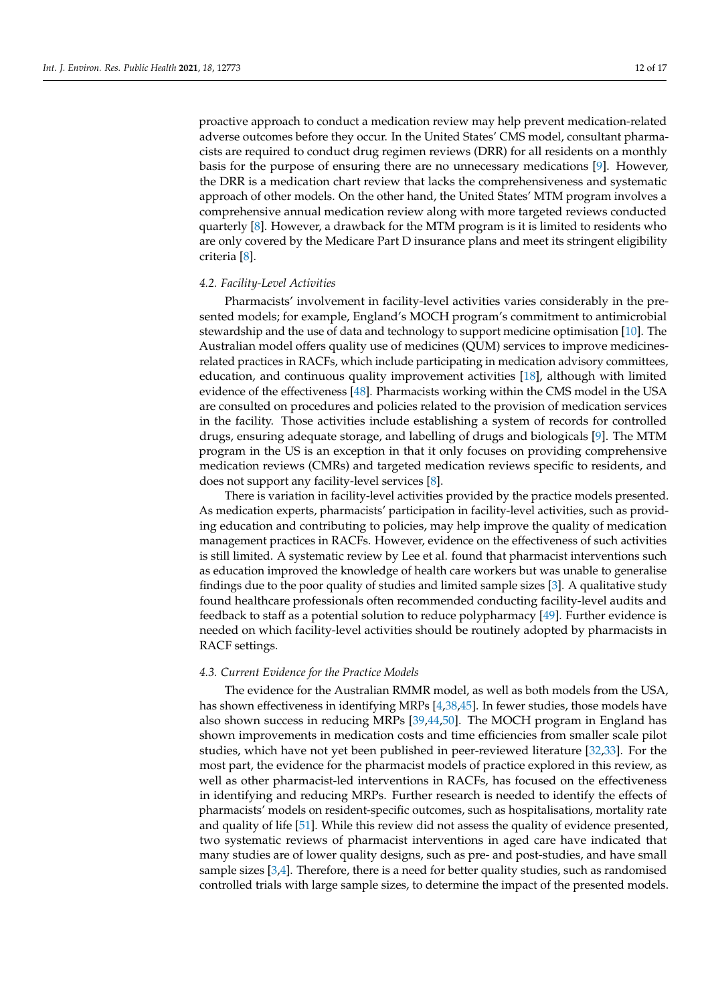proactive approach to conduct a medication review may help prevent medication-related adverse outcomes before they occur. In the United States' CMS model, consultant pharmacists are required to conduct drug regimen reviews (DRR) for all residents on a monthly basis for the purpose of ensuring there are no unnecessary medications [\[9\]](#page-14-6). However, the DRR is a medication chart review that lacks the comprehensiveness and systematic approach of other models. On the other hand, the United States' MTM program involves a comprehensive annual medication review along with more targeted reviews conducted quarterly [\[8\]](#page-14-5). However, a drawback for the MTM program is it is limited to residents who are only covered by the Medicare Part D insurance plans and meet its stringent eligibility criteria [\[8\]](#page-14-5).

#### *4.2. Facility-Level Activities*

Pharmacists' involvement in facility-level activities varies considerably in the presented models; for example, England's MOCH program's commitment to antimicrobial stewardship and the use of data and technology to support medicine optimisation [\[10\]](#page-14-7). The Australian model offers quality use of medicines (QUM) services to improve medicinesrelated practices in RACFs, which include participating in medication advisory committees, education, and continuous quality improvement activities [\[18\]](#page-14-18), although with limited evidence of the effectiveness [\[48\]](#page-16-4). Pharmacists working within the CMS model in the USA are consulted on procedures and policies related to the provision of medication services in the facility. Those activities include establishing a system of records for controlled drugs, ensuring adequate storage, and labelling of drugs and biologicals [\[9\]](#page-14-6). The MTM program in the US is an exception in that it only focuses on providing comprehensive medication reviews (CMRs) and targeted medication reviews specific to residents, and does not support any facility-level services [\[8\]](#page-14-5).

There is variation in facility-level activities provided by the practice models presented. As medication experts, pharmacists' participation in facility-level activities, such as providing education and contributing to policies, may help improve the quality of medication management practices in RACFs. However, evidence on the effectiveness of such activities is still limited. A systematic review by Lee et al. found that pharmacist interventions such as education improved the knowledge of health care workers but was unable to generalise findings due to the poor quality of studies and limited sample sizes [\[3\]](#page-14-2). A qualitative study found healthcare professionals often recommended conducting facility-level audits and feedback to staff as a potential solution to reduce polypharmacy [\[49\]](#page-16-5). Further evidence is needed on which facility-level activities should be routinely adopted by pharmacists in RACF settings.

## *4.3. Current Evidence for the Practice Models*

The evidence for the Australian RMMR model, as well as both models from the USA, has shown effectiveness in identifying MRPs [\[4,](#page-14-4)[38](#page-15-21)[,45\]](#page-16-0). In fewer studies, those models have also shown success in reducing MRPs [\[39,](#page-15-22)[44,](#page-16-1)[50\]](#page-16-6). The MOCH program in England has shown improvements in medication costs and time efficiencies from smaller scale pilot studies, which have not yet been published in peer-reviewed literature [\[32,](#page-15-14)[33\]](#page-15-15). For the most part, the evidence for the pharmacist models of practice explored in this review, as well as other pharmacist-led interventions in RACFs, has focused on the effectiveness in identifying and reducing MRPs. Further research is needed to identify the effects of pharmacists' models on resident-specific outcomes, such as hospitalisations, mortality rate and quality of life [\[51\]](#page-16-7). While this review did not assess the quality of evidence presented, two systematic reviews of pharmacist interventions in aged care have indicated that many studies are of lower quality designs, such as pre- and post-studies, and have small sample sizes [\[3,](#page-14-2)[4\]](#page-14-4). Therefore, there is a need for better quality studies, such as randomised controlled trials with large sample sizes, to determine the impact of the presented models.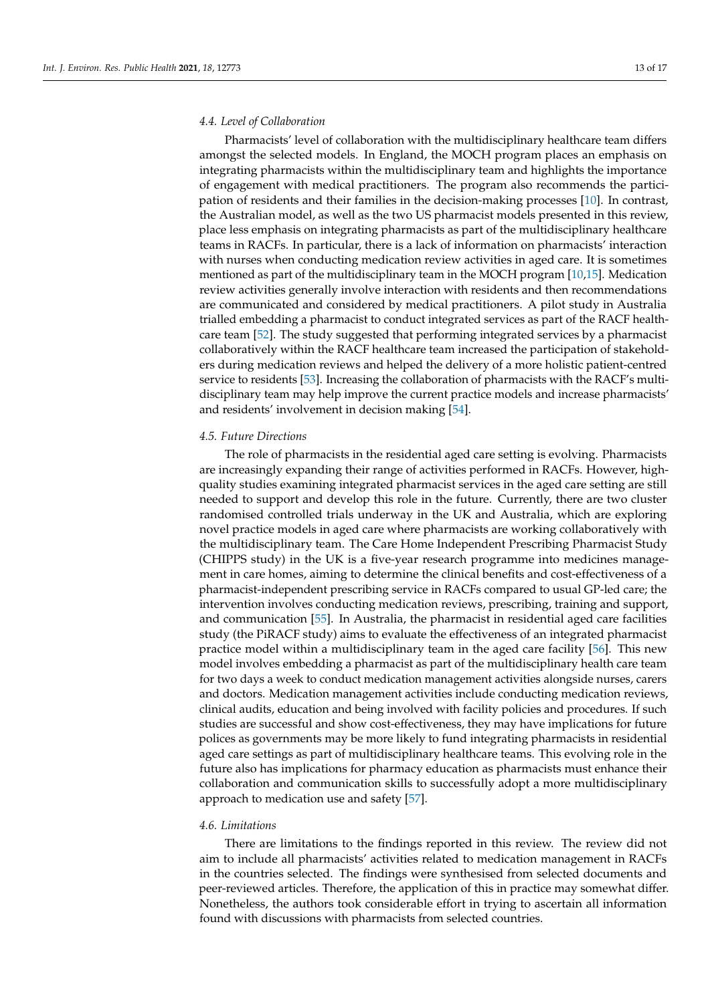## *4.4. Level of Collaboration*

Pharmacists' level of collaboration with the multidisciplinary healthcare team differs amongst the selected models. In England, the MOCH program places an emphasis on integrating pharmacists within the multidisciplinary team and highlights the importance of engagement with medical practitioners. The program also recommends the participation of residents and their families in the decision-making processes [\[10\]](#page-14-7). In contrast, the Australian model, as well as the two US pharmacist models presented in this review, place less emphasis on integrating pharmacists as part of the multidisciplinary healthcare teams in RACFs. In particular, there is a lack of information on pharmacists' interaction with nurses when conducting medication review activities in aged care. It is sometimes mentioned as part of the multidisciplinary team in the MOCH program [\[10,](#page-14-7)[15\]](#page-14-21). Medication review activities generally involve interaction with residents and then recommendations are communicated and considered by medical practitioners. A pilot study in Australia trialled embedding a pharmacist to conduct integrated services as part of the RACF healthcare team [\[52\]](#page-16-8). The study suggested that performing integrated services by a pharmacist collaboratively within the RACF healthcare team increased the participation of stakeholders during medication reviews and helped the delivery of a more holistic patient-centred service to residents [\[53\]](#page-16-9). Increasing the collaboration of pharmacists with the RACF's multidisciplinary team may help improve the current practice models and increase pharmacists' and residents' involvement in decision making [\[54\]](#page-16-10).

## *4.5. Future Directions*

The role of pharmacists in the residential aged care setting is evolving. Pharmacists are increasingly expanding their range of activities performed in RACFs. However, highquality studies examining integrated pharmacist services in the aged care setting are still needed to support and develop this role in the future. Currently, there are two cluster randomised controlled trials underway in the UK and Australia, which are exploring novel practice models in aged care where pharmacists are working collaboratively with the multidisciplinary team. The Care Home Independent Prescribing Pharmacist Study (CHIPPS study) in the UK is a five-year research programme into medicines management in care homes, aiming to determine the clinical benefits and cost-effectiveness of a pharmacist-independent prescribing service in RACFs compared to usual GP-led care; the intervention involves conducting medication reviews, prescribing, training and support, and communication [\[55\]](#page-16-11). In Australia, the pharmacist in residential aged care facilities study (the PiRACF study) aims to evaluate the effectiveness of an integrated pharmacist practice model within a multidisciplinary team in the aged care facility [\[56\]](#page-16-12). This new model involves embedding a pharmacist as part of the multidisciplinary health care team for two days a week to conduct medication management activities alongside nurses, carers and doctors. Medication management activities include conducting medication reviews, clinical audits, education and being involved with facility policies and procedures. If such studies are successful and show cost-effectiveness, they may have implications for future polices as governments may be more likely to fund integrating pharmacists in residential aged care settings as part of multidisciplinary healthcare teams. This evolving role in the future also has implications for pharmacy education as pharmacists must enhance their collaboration and communication skills to successfully adopt a more multidisciplinary approach to medication use and safety [\[57\]](#page-16-13).

## *4.6. Limitations*

There are limitations to the findings reported in this review. The review did not aim to include all pharmacists' activities related to medication management in RACFs in the countries selected. The findings were synthesised from selected documents and peer-reviewed articles. Therefore, the application of this in practice may somewhat differ. Nonetheless, the authors took considerable effort in trying to ascertain all information found with discussions with pharmacists from selected countries.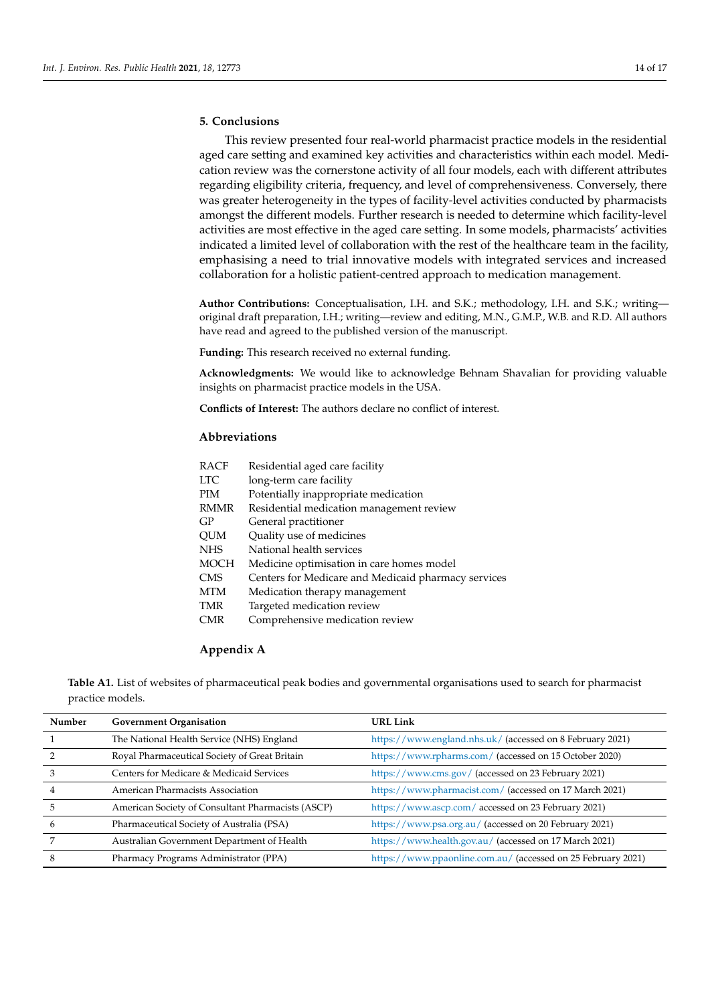## **5. Conclusions**

This review presented four real-world pharmacist practice models in the residential aged care setting and examined key activities and characteristics within each model. Medication review was the cornerstone activity of all four models, each with different attributes regarding eligibility criteria, frequency, and level of comprehensiveness. Conversely, there was greater heterogeneity in the types of facility-level activities conducted by pharmacists amongst the different models. Further research is needed to determine which facility-level activities are most effective in the aged care setting. In some models, pharmacists' activities indicated a limited level of collaboration with the rest of the healthcare team in the facility, emphasising a need to trial innovative models with integrated services and increased collaboration for a holistic patient-centred approach to medication management.

**Author Contributions:** Conceptualisation, I.H. and S.K.; methodology, I.H. and S.K.; writing original draft preparation, I.H.; writing—review and editing, M.N., G.M.P., W.B. and R.D. All authors have read and agreed to the published version of the manuscript.

**Funding:** This research received no external funding.

**Acknowledgments:** We would like to acknowledge Behnam Shavalian for providing valuable insights on pharmacist practice models in the USA.

**Conflicts of Interest:** The authors declare no conflict of interest.

## **Abbreviations**

| <b>RACF</b> | Residential aged care facility                      |  |
|-------------|-----------------------------------------------------|--|
| <b>LTC</b>  | long-term care facility                             |  |
| PIM         | Potentially inappropriate medication                |  |
| RMMR        | Residential medication management review            |  |
| GP          | General practitioner                                |  |
| QUM         | Quality use of medicines                            |  |
| NHS         | National health services                            |  |
| MOCH        | Medicine optimisation in care homes model           |  |
| CMS         | Centers for Medicare and Medicaid pharmacy services |  |
| MTM         | Medication therapy management                       |  |
| TMR         | Targeted medication review                          |  |
| CMR         | Comprehensive medication review                     |  |
|             |                                                     |  |

## <span id="page-13-0"></span>**Appendix A**

**Table A1.** List of websites of pharmaceutical peak bodies and governmental organisations used to search for pharmacist practice models.

| Number | <b>Government Organisation</b>                    | <b>URL Link</b>                                              |
|--------|---------------------------------------------------|--------------------------------------------------------------|
|        | The National Health Service (NHS) England         | https://www.england.nhs.uk/ (accessed on 8 February 2021)    |
|        | Royal Pharmaceutical Society of Great Britain     | https://www.rpharms.com/ (accessed on 15 October 2020)       |
|        | Centers for Medicare & Medicaid Services          | https://www.cms.gov/ (accessed on 23 February 2021)          |
|        | American Pharmacists Association                  | https://www.pharmacist.com/ (accessed on 17 March 2021)      |
|        | American Society of Consultant Pharmacists (ASCP) | https://www.ascp.com/accessed on 23 February 2021)           |
| h      | Pharmaceutical Society of Australia (PSA)         | https://www.psa.org.au/ (accessed on 20 February 2021)       |
|        | Australian Government Department of Health        | https://www.health.gov.au/ (accessed on 17 March 2021)       |
|        | Pharmacy Programs Administrator (PPA)             | https://www.ppaonline.com.au/ (accessed on 25 February 2021) |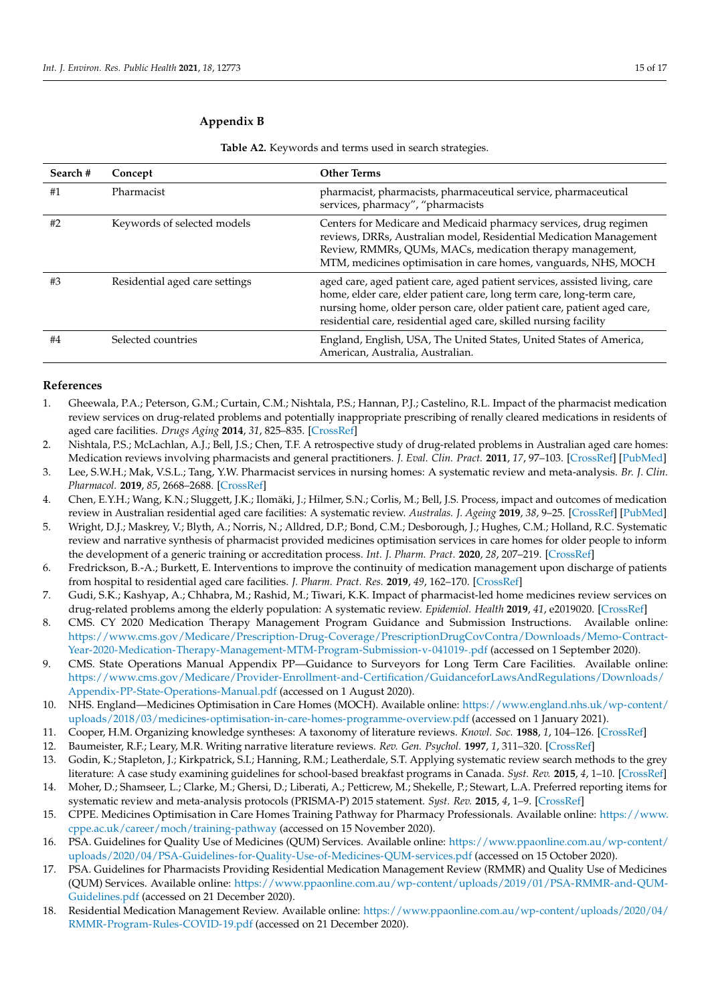## <span id="page-14-10"></span>**Appendix B**

| Search# | Concept                        | <b>Other Terms</b>                                                                                                                                                                                                                                                                                  |
|---------|--------------------------------|-----------------------------------------------------------------------------------------------------------------------------------------------------------------------------------------------------------------------------------------------------------------------------------------------------|
| #1      | Pharmacist                     | pharmacist, pharmacists, pharmaceutical service, pharmaceutical<br>services, pharmacy", "pharmacists                                                                                                                                                                                                |
| #2      | Keywords of selected models    | Centers for Medicare and Medicaid pharmacy services, drug regimen<br>reviews, DRRs, Australian model, Residential Medication Management<br>Review, RMMRs, QUMs, MACs, medication therapy management,<br>MTM, medicines optimisation in care homes, vanguards, NHS, MOCH                             |
| #3      | Residential aged care settings | aged care, aged patient care, aged patient services, assisted living, care<br>home, elder care, elder patient care, long term care, long-term care,<br>nursing home, older person care, older patient care, patient aged care,<br>residential care, residential aged care, skilled nursing facility |
| #4      | Selected countries             | England, English, USA, The United States, United States of America,<br>American, Australia, Australian.                                                                                                                                                                                             |

**Table A2.** Keywords and terms used in search strategies.

## <span id="page-14-17"></span><span id="page-14-16"></span>**References**

- <span id="page-14-13"></span><span id="page-14-0"></span>1. Gheewala, P.A.; Peterson, G.M.; Curtain, C.M.; Nishtala, P.S.; Hannan, P.J.; Castelino, R.L. Impact of the pharmacist medication review services on drug-related problems and potentially inappropriate prescribing of renally cleared medications in residents of aged care facilities. *Drugs Aging* **2014**, *31*, 825–835. [\[CrossRef\]](http://doi.org/10.1007/s40266-014-0208-y)
- <span id="page-14-1"></span>2. Nishtala, P.S.; McLachlan, A.J.; Bell, J.S.; Chen, T.F. A retrospective study of drug-related problems in Australian aged care homes: Medication reviews involving pharmacists and general practitioners. *J. Eval. Clin. Pract.* **2011**, *17*, 97–103. [\[CrossRef\]](http://doi.org/10.1111/j.1365-2753.2010.01374.x) [\[PubMed\]](http://www.ncbi.nlm.nih.gov/pubmed/20825538)
- <span id="page-14-2"></span>3. Lee, S.W.H.; Mak, V.S.L.; Tang, Y.W. Pharmacist services in nursing homes: A systematic review and meta-analysis. *Br. J. Clin. Pharmacol.* **2019**, *85*, 2668–2688. [\[CrossRef\]](http://doi.org/10.1111/bcp.14101)
- <span id="page-14-4"></span>4. Chen, E.Y.H.; Wang, K.N.; Sluggett, J.K.; Ilomäki, J.; Hilmer, S.N.; Corlis, M.; Bell, J.S. Process, impact and outcomes of medication review in Australian residential aged care facilities: A systematic review. *Australas. J. Ageing* **2019**, *38*, 9–25. [\[CrossRef\]](http://doi.org/10.1111/ajag.12676) [\[PubMed\]](http://www.ncbi.nlm.nih.gov/pubmed/31496065)
- <span id="page-14-15"></span><span id="page-14-14"></span>5. Wright, D.J.; Maskrey, V.; Blyth, A.; Norris, N.; Alldred, D.P.; Bond, C.M.; Desborough, J.; Hughes, C.M.; Holland, R.C. Systematic review and narrative synthesis of pharmacist provided medicines optimisation services in care homes for older people to inform the development of a generic training or accreditation process. *Int. J. Pharm. Pract.* **2020**, *28*, 207–219. [\[CrossRef\]](http://doi.org/10.1111/ijpp.12591)
- 6. Fredrickson, B.-A.; Burkett, E. Interventions to improve the continuity of medication management upon discharge of patients from hospital to residential aged care facilities. *J. Pharm. Pract. Res.* **2019**, *49*, 162–170. [\[CrossRef\]](http://doi.org/10.1002/jppr.1462)
- <span id="page-14-3"></span>7. Gudi, S.K.; Kashyap, A.; Chhabra, M.; Rashid, M.; Tiwari, K.K. Impact of pharmacist-led home medicines review services on drug-related problems among the elderly population: A systematic review. *Epidemiol. Health* **2019**, *41*, e2019020. [\[CrossRef\]](http://doi.org/10.4178/epih.e2019020)
- <span id="page-14-5"></span>8. CMS. CY 2020 Medication Therapy Management Program Guidance and Submission Instructions. Available online: [https://www.cms.gov/Medicare/Prescription-Drug-Coverage/PrescriptionDrugCovContra/Downloads/Memo-Contract-](https://www.cms.gov/Medicare/Prescription-Drug-Coverage/PrescriptionDrugCovContra/Downloads/Memo-Contract-Year-2020-Medication-Therapy-Management-MTM-Program-Submission-v-041019-.pdf)[Year-2020-Medication-Therapy-Management-MTM-Program-Submission-v-041019-.pdf](https://www.cms.gov/Medicare/Prescription-Drug-Coverage/PrescriptionDrugCovContra/Downloads/Memo-Contract-Year-2020-Medication-Therapy-Management-MTM-Program-Submission-v-041019-.pdf) (accessed on 1 September 2020).
- <span id="page-14-6"></span>9. CMS. State Operations Manual Appendix PP—Guidance to Surveyors for Long Term Care Facilities. Available online: [https://www.cms.gov/Medicare/Provider-Enrollment-and-Certification/GuidanceforLawsAndRegulations/Downloads/](https://www.cms.gov/Medicare/Provider-Enrollment-and-Certification/GuidanceforLawsAndRegulations/Downloads/Appendix-PP-State-Operations-Manual.pdf) [Appendix-PP-State-Operations-Manual.pdf](https://www.cms.gov/Medicare/Provider-Enrollment-and-Certification/GuidanceforLawsAndRegulations/Downloads/Appendix-PP-State-Operations-Manual.pdf) (accessed on 1 August 2020).
- <span id="page-14-7"></span>10. NHS. England—Medicines Optimisation in Care Homes (MOCH). Available online: [https://www.england.nhs.uk/wp-content/](https://www.england.nhs.uk/wp-content/uploads/2018/03/medicines-optimisation-in-care-homes-programme-overview.pdf) [uploads/2018/03/medicines-optimisation-in-care-homes-programme-overview.pdf](https://www.england.nhs.uk/wp-content/uploads/2018/03/medicines-optimisation-in-care-homes-programme-overview.pdf) (accessed on 1 January 2021).
- <span id="page-14-8"></span>11. Cooper, H.M. Organizing knowledge syntheses: A taxonomy of literature reviews. *Knowl. Soc.* **1988**, *1*, 104–126. [\[CrossRef\]](http://doi.org/10.1007/BF03177550)
- <span id="page-14-9"></span>12. Baumeister, R.F.; Leary, M.R. Writing narrative literature reviews. *Rev. Gen. Psychol.* **1997**, *1*, 311–320. [\[CrossRef\]](http://doi.org/10.1037/1089-2680.1.3.311)
- <span id="page-14-11"></span>13. Godin, K.; Stapleton, J.; Kirkpatrick, S.I.; Hanning, R.M.; Leatherdale, S.T. Applying systematic review search methods to the grey literature: A case study examining guidelines for school-based breakfast programs in Canada. *Syst. Rev.* **2015**, *4*, 1–10. [\[CrossRef\]](http://doi.org/10.1186/s13643-015-0125-0)
- <span id="page-14-12"></span>14. Moher, D.; Shamseer, L.; Clarke, M.; Ghersi, D.; Liberati, A.; Petticrew, M.; Shekelle, P.; Stewart, L.A. Preferred reporting items for systematic review and meta-analysis protocols (PRISMA-P) 2015 statement. *Syst. Rev.* **2015**, *4*, 1–9. [\[CrossRef\]](http://doi.org/10.1186/2046-4053-4-1)
- <span id="page-14-21"></span>15. CPPE. Medicines Optimisation in Care Homes Training Pathway for Pharmacy Professionals. Available online: [https://www.](https://www.cppe.ac.uk/career/moch/training-pathway) [cppe.ac.uk/career/moch/training-pathway](https://www.cppe.ac.uk/career/moch/training-pathway) (accessed on 15 November 2020).
- <span id="page-14-19"></span>16. PSA. Guidelines for Quality Use of Medicines (QUM) Services. Available online: [https://www.ppaonline.com.au/wp-content/](https://www.ppaonline.com.au/wp-content/uploads/2020/04/PSA-Guidelines-for-Quality-Use-of-Medicines-QUM-services.pdf) [uploads/2020/04/PSA-Guidelines-for-Quality-Use-of-Medicines-QUM-services.pdf](https://www.ppaonline.com.au/wp-content/uploads/2020/04/PSA-Guidelines-for-Quality-Use-of-Medicines-QUM-services.pdf) (accessed on 15 October 2020).
- <span id="page-14-20"></span>17. PSA. Guidelines for Pharmacists Providing Residential Medication Management Review (RMMR) and Quality Use of Medicines (QUM) Services. Available online: [https://www.ppaonline.com.au/wp-content/uploads/2019/01/PSA-RMMR-and-QUM-](https://www.ppaonline.com.au/wp-content/uploads/2019/01/PSA-RMMR-and-QUM-Guidelines.pdf)[Guidelines.pdf](https://www.ppaonline.com.au/wp-content/uploads/2019/01/PSA-RMMR-and-QUM-Guidelines.pdf) (accessed on 21 December 2020).
- <span id="page-14-18"></span>18. Residential Medication Management Review. Available online: [https://www.ppaonline.com.au/wp-content/uploads/2020/04/](https://www.ppaonline.com.au/wp-content/uploads/2020/04/RMMR-Program-Rules-COVID-19.pdf) [RMMR-Program-Rules-COVID-19.pdf](https://www.ppaonline.com.au/wp-content/uploads/2020/04/RMMR-Program-Rules-COVID-19.pdf) (accessed on 21 December 2020).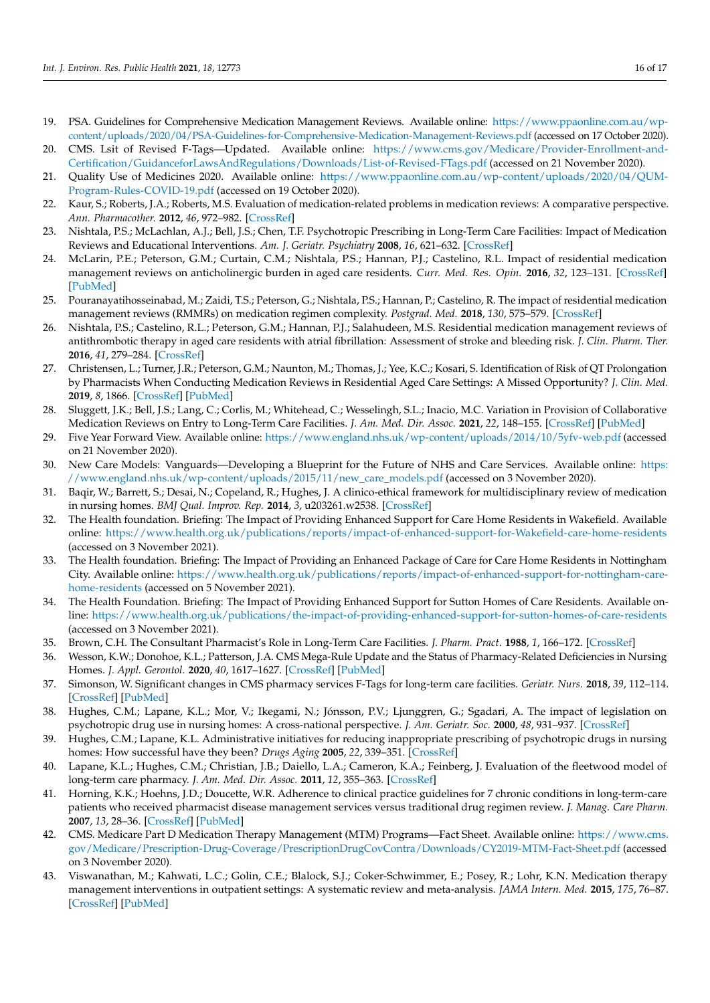- <span id="page-15-2"></span><span id="page-15-1"></span><span id="page-15-0"></span>19. PSA. Guidelines for Comprehensive Medication Management Reviews. Available online: [https://www.ppaonline.com.au/wp](https://www.ppaonline.com.au/wp-content/uploads/2020/04/PSA-Guidelines-for-Comprehensive-Medication-Management-Reviews.pdf)[content/uploads/2020/04/PSA-Guidelines-for-Comprehensive-Medication-Management-Reviews.pdf](https://www.ppaonline.com.au/wp-content/uploads/2020/04/PSA-Guidelines-for-Comprehensive-Medication-Management-Reviews.pdf) (accessed on 17 October 2020).
- <span id="page-15-18"></span>20. CMS. Lsit of Revised F-Tags—Updated. Available online: [https://www.cms.gov/Medicare/Provider-Enrollment-and-](https://www.cms.gov/Medicare/Provider-Enrollment-and-Certification/GuidanceforLawsAndRegulations/Downloads/List-of-Revised-FTags.pdf)[Certification/GuidanceforLawsAndRegulations/Downloads/List-of-Revised-FTags.pdf](https://www.cms.gov/Medicare/Provider-Enrollment-and-Certification/GuidanceforLawsAndRegulations/Downloads/List-of-Revised-FTags.pdf) (accessed on 21 November 2020).
- <span id="page-15-3"></span>21. Quality Use of Medicines 2020. Available online: [https://www.ppaonline.com.au/wp-content/uploads/2020/04/QUM-](https://www.ppaonline.com.au/wp-content/uploads/2020/04/QUM-Program-Rules-COVID-19.pdf)[Program-Rules-COVID-19.pdf](https://www.ppaonline.com.au/wp-content/uploads/2020/04/QUM-Program-Rules-COVID-19.pdf) (accessed on 19 October 2020).
- <span id="page-15-4"></span>22. Kaur, S.; Roberts, J.A.; Roberts, M.S. Evaluation of medication-related problems in medication reviews: A comparative perspective. *Ann. Pharmacother.* **2012**, *46*, 972–982. [\[CrossRef\]](http://doi.org/10.1345/aph.1Q694)
- <span id="page-15-5"></span>23. Nishtala, P.S.; McLachlan, A.J.; Bell, J.S.; Chen, T.F. Psychotropic Prescribing in Long-Term Care Facilities: Impact of Medication Reviews and Educational Interventions. *Am. J. Geriatr. Psychiatry* **2008**, *16*, 621–632. [\[CrossRef\]](http://doi.org/10.1097/JGP.0b013e31817c6abe)
- <span id="page-15-6"></span>24. McLarin, P.E.; Peterson, G.M.; Curtain, C.M.; Nishtala, P.S.; Hannan, P.J.; Castelino, R.L. Impact of residential medication management reviews on anticholinergic burden in aged care residents. *Curr. Med. Res. Opin.* **2016**, *32*, 123–131. [\[CrossRef\]](http://doi.org/10.1185/03007995.2015.1105794) [\[PubMed\]](http://www.ncbi.nlm.nih.gov/pubmed/26455537)
- <span id="page-15-7"></span>25. Pouranayatihosseinabad, M.; Zaidi, T.S.; Peterson, G.; Nishtala, P.S.; Hannan, P.; Castelino, R. The impact of residential medication management reviews (RMMRs) on medication regimen complexity. *Postgrad. Med.* **2018**, *130*, 575–579. [\[CrossRef\]](http://doi.org/10.1080/00325481.2018.1502016)
- <span id="page-15-8"></span>26. Nishtala, P.S.; Castelino, R.L.; Peterson, G.M.; Hannan, P.J.; Salahudeen, M.S. Residential medication management reviews of antithrombotic therapy in aged care residents with atrial fibrillation: Assessment of stroke and bleeding risk. *J. Clin. Pharm. Ther.* **2016**, *41*, 279–284. [\[CrossRef\]](http://doi.org/10.1111/jcpt.12385)
- <span id="page-15-9"></span>27. Christensen, L.; Turner, J.R.; Peterson, G.M.; Naunton, M.; Thomas, J.; Yee, K.C.; Kosari, S. Identification of Risk of QT Prolongation by Pharmacists When Conducting Medication Reviews in Residential Aged Care Settings: A Missed Opportunity? *J. Clin. Med.* **2019**, *8*, 1866. [\[CrossRef\]](http://doi.org/10.3390/jcm8111866) [\[PubMed\]](http://www.ncbi.nlm.nih.gov/pubmed/31689908)
- <span id="page-15-10"></span>28. Sluggett, J.K.; Bell, J.S.; Lang, C.; Corlis, M.; Whitehead, C.; Wesselingh, S.L.; Inacio, M.C. Variation in Provision of Collaborative Medication Reviews on Entry to Long-Term Care Facilities. *J. Am. Med. Dir. Assoc.* **2021**, *22*, 148–155. [\[CrossRef\]](http://doi.org/10.1016/j.jamda.2020.10.027) [\[PubMed\]](http://www.ncbi.nlm.nih.gov/pubmed/33288466)
- <span id="page-15-11"></span>29. Five Year Forward View. Available online: <https://www.england.nhs.uk/wp-content/uploads/2014/10/5yfv-web.pdf> (accessed on 21 November 2020).
- <span id="page-15-12"></span>30. New Care Models: Vanguards—Developing a Blueprint for the Future of NHS and Care Services. Available online: [https:](https://www.england.nhs.uk/wp-content/uploads/2015/11/new_care_models.pdf) [//www.england.nhs.uk/wp-content/uploads/2015/11/new\\_care\\_models.pdf](https://www.england.nhs.uk/wp-content/uploads/2015/11/new_care_models.pdf) (accessed on 3 November 2020).
- <span id="page-15-13"></span>31. Baqir, W.; Barrett, S.; Desai, N.; Copeland, R.; Hughes, J. A clinico-ethical framework for multidisciplinary review of medication in nursing homes. *BMJ Qual. Improv. Rep.* **2014**, *3*, u203261.w2538. [\[CrossRef\]](http://doi.org/10.1136/bmjquality.u203261.w2538)
- <span id="page-15-14"></span>32. The Health foundation. Briefing: The Impact of Providing Enhanced Support for Care Home Residents in Wakefield. Available online: <https://www.health.org.uk/publications/reports/impact-of-enhanced-support-for-Wakefield-care-home-residents> (accessed on 3 November 2021).
- <span id="page-15-15"></span>33. The Health foundation. Briefing: The Impact of Providing an Enhanced Package of Care for Care Home Residents in Nottingham City. Available online: [https://www.health.org.uk/publications/reports/impact-of-enhanced-support-for-nottingham-care](https://www.health.org.uk/publications/reports/impact-of-enhanced-support-for-nottingham-care-home-residents)[home-residents](https://www.health.org.uk/publications/reports/impact-of-enhanced-support-for-nottingham-care-home-residents) (accessed on 5 November 2021).
- <span id="page-15-16"></span>34. The Health Foundation. Briefing: The Impact of Providing Enhanced Support for Sutton Homes of Care Residents. Available online: <https://www.health.org.uk/publications/the-impact-of-providing-enhanced-support-for-sutton-homes-of-care-residents> (accessed on 3 November 2021).
- <span id="page-15-17"></span>35. Brown, C.H. The Consultant Pharmacist's Role in Long-Term Care Facilities. *J. Pharm. Pract.* **1988**, *1*, 166–172. [\[CrossRef\]](http://doi.org/10.1177/089719008800100304)
- <span id="page-15-19"></span>36. Wesson, K.W.; Donohoe, K.L.; Patterson, J.A. CMS Mega-Rule Update and the Status of Pharmacy-Related Deficiencies in Nursing Homes. *J. Appl. Gerontol.* **2020**, *40*, 1617–1627. [\[CrossRef\]](http://doi.org/10.1177/0733464820967589) [\[PubMed\]](http://www.ncbi.nlm.nih.gov/pubmed/33111588)
- <span id="page-15-20"></span>37. Simonson, W. Significant changes in CMS pharmacy services F-Tags for long-term care facilities. *Geriatr. Nurs.* **2018**, *39*, 112–114. [\[CrossRef\]](http://doi.org/10.1016/j.gerinurse.2017.12.006) [\[PubMed\]](http://www.ncbi.nlm.nih.gov/pubmed/29336827)
- <span id="page-15-21"></span>38. Hughes, C.M.; Lapane, K.L.; Mor, V.; Ikegami, N.; Jónsson, P.V.; Ljunggren, G.; Sgadari, A. The impact of legislation on psychotropic drug use in nursing homes: A cross-national perspective. *J. Am. Geriatr. Soc.* **2000**, *48*, 931–937. [\[CrossRef\]](http://doi.org/10.1111/j.1532-5415.2000.tb06890.x)
- <span id="page-15-22"></span>39. Hughes, C.M.; Lapane, K.L. Administrative initiatives for reducing inappropriate prescribing of psychotropic drugs in nursing homes: How successful have they been? *Drugs Aging* **2005**, *22*, 339–351. [\[CrossRef\]](http://doi.org/10.2165/00002512-200522040-00006)
- <span id="page-15-23"></span>40. Lapane, K.L.; Hughes, C.M.; Christian, J.B.; Daiello, L.A.; Cameron, K.A.; Feinberg, J. Evaluation of the fleetwood model of long-term care pharmacy. *J. Am. Med. Dir. Assoc.* **2011**, *12*, 355–363. [\[CrossRef\]](http://doi.org/10.1016/j.jamda.2010.03.003)
- <span id="page-15-24"></span>41. Horning, K.K.; Hoehns, J.D.; Doucette, W.R. Adherence to clinical practice guidelines for 7 chronic conditions in long-term-care patients who received pharmacist disease management services versus traditional drug regimen review. *J. Manag. Care Pharm.* **2007**, *13*, 28–36. [\[CrossRef\]](http://doi.org/10.18553/jmcp.2007.13.1.28) [\[PubMed\]](http://www.ncbi.nlm.nih.gov/pubmed/17269834)
- <span id="page-15-25"></span>42. CMS. Medicare Part D Medication Therapy Management (MTM) Programs—Fact Sheet. Available online: [https://www.cms.](https://www.cms.gov/Medicare/Prescription-Drug-Coverage/PrescriptionDrugCovContra/Downloads/CY2019-MTM-Fact-Sheet.pdf) [gov/Medicare/Prescription-Drug-Coverage/PrescriptionDrugCovContra/Downloads/CY2019-MTM-Fact-Sheet.pdf](https://www.cms.gov/Medicare/Prescription-Drug-Coverage/PrescriptionDrugCovContra/Downloads/CY2019-MTM-Fact-Sheet.pdf) (accessed on 3 November 2020).
- <span id="page-15-26"></span>43. Viswanathan, M.; Kahwati, L.C.; Golin, C.E.; Blalock, S.J.; Coker-Schwimmer, E.; Posey, R.; Lohr, K.N. Medication therapy management interventions in outpatient settings: A systematic review and meta-analysis. *JAMA Intern. Med.* **2015**, *175*, 76–87. [\[CrossRef\]](http://doi.org/10.1001/jamainternmed.2014.5841) [\[PubMed\]](http://www.ncbi.nlm.nih.gov/pubmed/25401788)